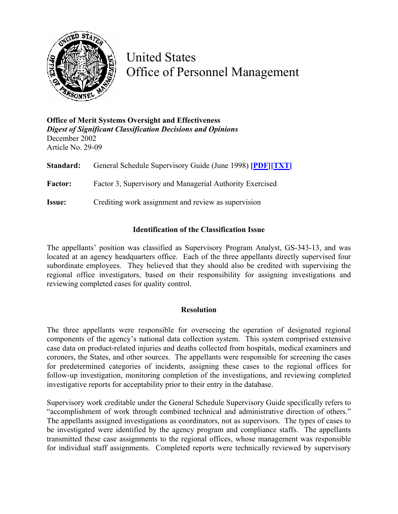

United States Office of Personnel Management

**Office of Merit Systems Oversight and Effectiveness**  *Digest of Significant Classification Decisions and Opinions* December 2002 Article No. 29-09

**Standard:** General Schedule Supervisory Guide (June 1998) **[\[PDF\]](http://www.opm.gov/fedclass/gssg.pdf)[\[TXT\]](http://www.opm.gov/fedclass/text/gssg.w51) Factor:** Factor 3, Supervisory and Managerial Authority Exercised **Issue:** Crediting work assignment and review as supervision

## **Identification of the Classification Issue**

The appellants' position was classified as Supervisory Program Analyst, GS-343-13, and was located at an agency headquarters office. Each of the three appellants directly supervised four subordinate employees. They believed that they should also be credited with supervising the regional office investigators, based on their responsibility for assigning investigations and reviewing completed cases for quality control.

## **Resolution**

The three appellants were responsible for overseeing the operation of designated regional components of the agency's national data collection system. This system comprised extensive case data on product-related injuries and deaths collected from hospitals, medical examiners and coroners, the States, and other sources. The appellants were responsible for screening the cases for predetermined categories of incidents, assigning these cases to the regional offices for follow-up investigation, monitoring completion of the investigations, and reviewing completed investigative reports for acceptability prior to their entry in the database.

Supervisory work creditable under the General Schedule Supervisory Guide specifically refers to "accomplishment of work through combined technical and administrative direction of others." The appellants assigned investigations as coordinators, not as supervisors. The types of cases to be investigated were identified by the agency program and compliance staffs. The appellants transmitted these case assignments to the regional offices, whose management was responsible for individual staff assignments. Completed reports were technically reviewed by supervisory